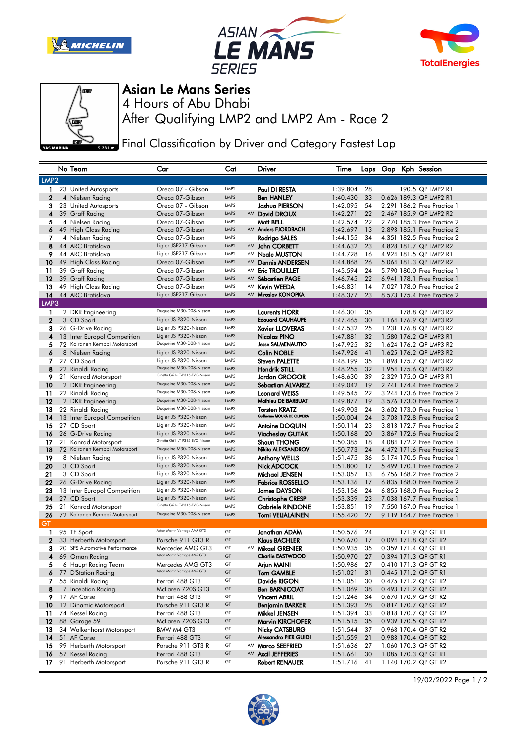







## Asian Le Mans Series

After Qualifying LMP2 and LMP2 Am - Race 2 4 Hours of Abu Dhabi

Final Classification by Driver and Category Fastest Lap

|                  |    | No Team                                               | Car                                                     | Cat              |    | Driver                                             | Time                 |          |  | Laps Gap Kph Session                                       |
|------------------|----|-------------------------------------------------------|---------------------------------------------------------|------------------|----|----------------------------------------------------|----------------------|----------|--|------------------------------------------------------------|
| LMP <sub>2</sub> |    |                                                       |                                                         |                  |    |                                                    |                      |          |  |                                                            |
| 1.               |    | 23 United Autosports                                  | Oreca 07 - Gibson                                       | LMP <sub>2</sub> |    | Paul DI RESTA                                      | 1:39.804             | 28       |  | 190.5 QP LMP2 R1                                           |
| $\mathbf{2}$     |    | 4 Nielsen Racing                                      | Oreca 07-Gibson                                         | LMP <sub>2</sub> |    | <b>Ben HANLEY</b>                                  | 1:40.430             | 33       |  | 0.626 189.3 QP LMP2 R1                                     |
| 3                |    | 23 United Autosports                                  | Oreca 07 - Gibson                                       | LMP <sub>2</sub> |    | Joshua PIERSON                                     | 1:42.095             | 54       |  | 2.291 186.2 Free Practice 1                                |
| 4                |    | 39 Graff Racing                                       | Oreca 07-Gibson                                         | LMP2             |    | AM David DROUX                                     | 1:42.271             | 22       |  | 2.467 185.9 QP LMP2 R2                                     |
| 5                |    | 4 Nielsen Racing                                      | Oreca 07-Gibson                                         | LMP <sub>2</sub> |    | Matt BELL                                          | 1:42.574             | 22       |  | 2,770 185.3 Free Practice 2                                |
| 6                |    | 49 High Class Racing                                  | Oreca 07-Gibson                                         | LMP <sub>2</sub> |    | AM Anders FJORDBACH                                | 1:42.697             | 13       |  | 2.893 185.1 Free Practice 2                                |
| 7                |    | 4 Nielsen Racing                                      | Oreca 07-Gibson                                         | LMP <sub>2</sub> |    | Rodrigo SALES                                      | 1:44.155             | 34       |  | 4.351 182.5 Free Practice 2                                |
| 8                |    | 44 ARC Bratislava                                     | Ligier JSP217-Gibson                                    | LMP2             |    | AM John CORBETT                                    | 1:44.632             | 23       |  | 4.828 181.7 QP LMP2 R2                                     |
| 9                |    | 44 ARC Bratislava                                     | Ligier JSP217-Gibson                                    | LMP <sub>2</sub> |    | AM Neale MUSTON                                    | 1:44.728             | 16       |  | 4.924 181.5 QP LMP2 R1                                     |
| 10               |    | 49 High Class Racing                                  | Oreca 07-Gibson                                         | LMP2             |    | AM Dennis ANDERSEN                                 | 1:44.868             | 26       |  | 5.064 181.3 QP LMP2 R2                                     |
| 11               |    | 39 Graff Racing                                       | Oreca 07-Gibson                                         | LMP <sub>2</sub> | AM | <b>Eric TROUILLET</b>                              | 1:45.594             | 24       |  | 5.790 180.0 Free Practice 1                                |
| 12               |    | 39 Graff Racing                                       | Oreca 07-Gibson                                         | LMP <sub>2</sub> | AM | <b>Sébastien PAGE</b>                              | 1:46.745             | 22       |  | 6.941 178.1 Free Practice 1                                |
| 13               |    | 49 High Class Racing                                  | Oreca 07-Gibson                                         | LMP <sub>2</sub> | AM | <b>Kevin WEEDA</b>                                 | 1:46.831             | 14       |  | 7.027 178.0 Free Practice 2                                |
| 14               |    | 44 ARC Bratislava                                     | Ligier JSP217-Gibson                                    | LMP2             | AM | Miroslav KONOPKA                                   | 1:48.377             | 23       |  | 8.573 175.4 Free Practice 2                                |
| LMP3             |    |                                                       |                                                         |                  |    |                                                    |                      |          |  |                                                            |
| 1                |    | 2 DKR Engineering                                     | Duqueine M30-D08-Nissan                                 | LMP3             |    | <b>Laurents HORR</b>                               | 1:46.301             | 35       |  | 178.8 QP LMP3 R2                                           |
| $\mathbf{2}$     |    | 3 CD Sport                                            | Ligier JS P320-Nissan                                   | LMP3             |    | <b>Edouard CAUHAUPE</b>                            | 1:47.465             | 30       |  | 1.164 176.9 QP LMP3 R2                                     |
| 3                |    | 26 G-Drive Racing                                     | Ligier JS P320-Nissan                                   | LMP3             |    | <b>Xavier LLOVERAS</b>                             | 1:47.532             | 25       |  | 1.231 176.8 QP LMP3 R2                                     |
| 4                |    | 13 Inter Europol Competition                          | Ligier JS P320-Nissan                                   | LMP3             |    | Nicolas PINO                                       | 1:47.881             | 32       |  | 1.580 176.2 QP LMP3 R1                                     |
| 5                |    | 72 Koiranen Kemppi Motorsport                         | Duqueine M30-D08-Nissan                                 | LMP3             |    | <b>Jesse SALMENAUTIO</b>                           | 1:47.925             | 32       |  | 1.624 176.2 QP LMP3 R2                                     |
| 6                |    | 8 Nielsen Racing                                      | Ligier JS P320-Nissan                                   | LMP3             |    | <b>Colin NOBLE</b>                                 | 1:47.926             | 41       |  | 1.625 176.2 QP LMP3 R2                                     |
| 7                |    | 27 CD Sport                                           | Ligier JS P320-Nissan                                   | LMP3             |    | <b>Steven PALETTE</b>                              | 1:48.199             | 35       |  | 1.898 175.7 QP LMP3 R2                                     |
| 8                |    | 22 Rinaldi Racing                                     | Duqueine M30-D08-Nissan                                 | LMP3             |    | <b>Hendrik STILL</b>                               | 1:48.255             | 32       |  | 1.954 175.6 QP LMP3 R2                                     |
| 9.               |    | 21 Konrad Motorsport                                  | Ginetta G61-LT-P315-EVO-Nissan                          | LMP3             |    | <b>Jordan GROGOR</b>                               | 1:48.630             | 39       |  | 2.329 175.0 QP LMP3 R1                                     |
| 10               |    | 2 DKR Engineering                                     | Duqueine M30-D08-Nissan                                 | LMP3             |    | <b>Sebastian ALVAREZ</b>                           | 1:49.042             | 19       |  | 2.741 174.4 Free Practice 2                                |
| 11               |    | 22 Rinaldi Racing                                     | Duqueine M30-D08-Nissan                                 | LMP3             |    | <b>Leonard WEISS</b>                               | 1:49.545             | 22       |  | 3.244 173.6 Free Practice 2                                |
| 12               |    | 2 DKR Engineering                                     | Duqueine M30-D08-Nissan                                 | LMP3             |    | Mathieu DE BARBUAT                                 | 1:49.877             | 19       |  | 3.576 173.0 Free Practice 2                                |
| 13               |    | 22 Rinaldi Racing                                     | Duqueine M30-D08-Nissan                                 | LMP3             |    | <b>Torsten KRATZ</b>                               | 1:49.903             | 24       |  | 3.602 173.0 Free Practice 1                                |
| 14               |    | 13 Inter Europol Competition                          | Ligier JS P320-Nissan                                   | LMP3             |    | Guilherme MOURA DE OLIVEIRA                        | 1:50.004             | 24       |  | 3.703 172.8 Free Practice 2                                |
| 15               |    | 27 CD Sport                                           | Ligier JS P320-Nissan                                   | LMP3             |    | <b>Antoine DOQUIN</b>                              | 1:50.114             | 23       |  | 3.813 172.7 Free Practice 2                                |
| 16               |    | 26 G-Drive Racing                                     | Ligier JS P320-Nissan                                   | LMP3             |    | <b>Viacheslav GUTAK</b>                            | 1:50.168             | 20       |  | 3.867 172.6 Free Practice 2                                |
| 17               |    | 21 Konrad Motorsport                                  | Ginetta G61-LT-P315-EVO-Nissan                          | LMP3             |    | <b>Shaun THONG</b>                                 | 1:50.385             | 18       |  | 4.084 172.2 Free Practice 1                                |
| 18               |    | 72 Koiranen Kemppi Motorsport                         | Duqueine M30-D08-Nissan                                 | LMP3             |    | Nikita ALEKSANDROV                                 | 1:50.773             | 24       |  | 4.472 171.6 Free Practice 2                                |
| 19               |    | 8 Nielsen Racing                                      | Ligier JS P320-Nissan                                   | LMP3             |    | <b>Anthony WELLS</b>                               | 1:51.475             | 36       |  | 5.174 170.5 Free Practice 1                                |
| 20               |    | 3 CD Sport                                            | Ligier JS P320-Nissan                                   | LMP3             |    | Nick ADCOCK                                        | 1:51.800             | 17       |  | 5.499 170.1 Free Practice 2                                |
| 21               |    | 3 CD Sport                                            | Ligier JS P320-Nissan                                   | LMP3             |    | Michael JENSEN                                     | 1:53.057             | 13       |  | 6.756 168.2 Free Practice 2                                |
| 22               |    | 26 G-Drive Racing                                     | Ligier JS P320-Nissan                                   | LMP3             |    | <b>Fabrice ROSSELLO</b>                            | 1:53.136             | 17       |  | 6.835 168.0 Free Practice 2                                |
| 23               |    | 13 Inter Europol Competition                          | Ligier JS P320-Nissan                                   | LMP3<br>LMP3     |    | <b>James DAYSON</b>                                | 1:53.156             | 24       |  | 6.855 168.0 Free Practice 2                                |
| 24               |    | 27 CD Sport                                           | Ligier JS P320-Nissan<br>Ginetta G61-LT-P315-EVO-Nissan | LMP3             |    | <b>Christophe CRESP</b>                            | 1:53.339             | 23<br>19 |  | 7.038 167.7 Free Practice 1                                |
| 25<br>26         |    | 21 Konrad Motorsport<br>72 Koiranen Kemppi Motorsport | Duqueine M30-D08-Nissan                                 | LMP3             |    | <b>Gabriele RINDONE</b><br><b>Tomi VEIJALAINEN</b> | 1:53.851<br>1:55.420 | 27       |  | 7,550 167.0 Free Practice 1<br>9.119 164.7 Free Practice 1 |
| GT               |    |                                                       |                                                         |                  |    |                                                    |                      |          |  |                                                            |
| 1                |    | 95 TF Sport                                           | Aston Martin Vantage AMR GT3                            | GT               |    | Jonathan ADAM                                      | 1:50.576             | 24       |  | 171.9 QP GT R1                                             |
| $\mathbf 2$      |    | 33 Herberth Motorsport                                | Porsche 911 GT3 R                                       | GT               |    | <b>Klaus BACHLER</b>                               | 1:50.670             | 17       |  | 0.094 171.8 QP GT R2                                       |
| з                |    | 20 SPS Automotive Performance                         | Mercedes AMG GT3                                        | GT               |    | AM Mikael GRENIER                                  | 1:50.935             | 35       |  | 0.359 171.4 QP GT R1                                       |
| 4                |    | 69 Oman Racing                                        | Aston Martin Vantage AMR GT3                            | GT               |    | <b>Charlie EASTWOOD</b>                            | 1:50.970             | 27       |  | 0.394 171.3 QP GT R1                                       |
| 5                |    | 6 Haupt Racing Team                                   | Mercedes AMG GT3                                        | GT               |    | Arjun MAINI                                        | 1:50.986             | 27       |  | 0.410 171.3 QP GT R2                                       |
|                  |    | 6 77 D'Station Racing                                 | Aston Martin Vantage AMR GT3                            | GT               |    | <b>Tom GAMBLE</b>                                  | 1:51.021             | 31       |  | 0.445 171.2 QP GT R1                                       |
|                  |    | 7 55 Rinaldi Racing                                   | Ferrari 488 GT3                                         | GT               |    | Davide RIGON                                       | 1:51.051             | 30       |  | 0.475 171.2 QP GT R2                                       |
| 8                |    | 7 Inception Racing                                    | McLaren 720S GT3                                        | GT               |    | <b>Ben BARNICOAT</b>                               | 1:51.069             | 38       |  | 0.493 171.2 QP GT R2                                       |
|                  |    | 9 17 AF Corse                                         | Ferrari 488 GT3                                         | GT               |    | <b>Vincent ABRIL</b>                               | 1:51.246             | 34       |  | 0.670 170.9 QP GT R2                                       |
| 10               |    | 12 Dinamic Motorsport                                 | Porsche 911 GT3 R                                       | GT               |    | <b>Benjamin BARKER</b>                             | 1:51.393             | 28       |  | 0.817 170.7 QP GT R2                                       |
| 11               |    | 74 Kessel Racing                                      | Ferrari 488 GT3                                         | GT               |    | Mikkel JENSEN                                      | 1:51.394             | 33       |  | 0.818 170.7 QP GT R2                                       |
|                  |    | <b>12</b> 88 Garage 59                                | McLaren 720S GT3                                        | GT               |    | <b>Marvin KIRCHOFER</b>                            | 1:51.515             | 35       |  | 0.939 170.5 QP GT R2                                       |
| 13               |    | 34 Walkenhorst Motorsport                             | BMW M4 GT3                                              | GT               |    | <b>Nicky CATSBURG</b>                              | 1:51.544             | 37       |  | 0.968 170.4 QP GT R2                                       |
| 14               |    | 51 AF Corse                                           | Ferrari 488 GT3                                         | GT               |    | <b>Alessandro PIER GUIDI</b>                       | 1:51.559             | 21       |  | 0.983 170.4 QP GT R2                                       |
| 15               |    | 99 Herberth Motorsport                                | Porsche 911 GT3 R                                       | GT               |    | AM Marco SEEFRIED                                  | 1:51.636             | 27       |  | 1.060 170.3 QP GT R2                                       |
| 16               |    | 57 Kessel Racing                                      | Ferrari 488 GT3                                         | GT               |    | AM Axcil JEFFERIES                                 | 1:51.661             | 30       |  | 1.085 170.3 QP GT R1                                       |
| 17               | 91 | Herberth Motorsport                                   | Porsche 911 GT3 R                                       | GT               |    | Robert RENAUER                                     | 1:51.716             | 41       |  | 1.140 170.2 QP GT R2                                       |